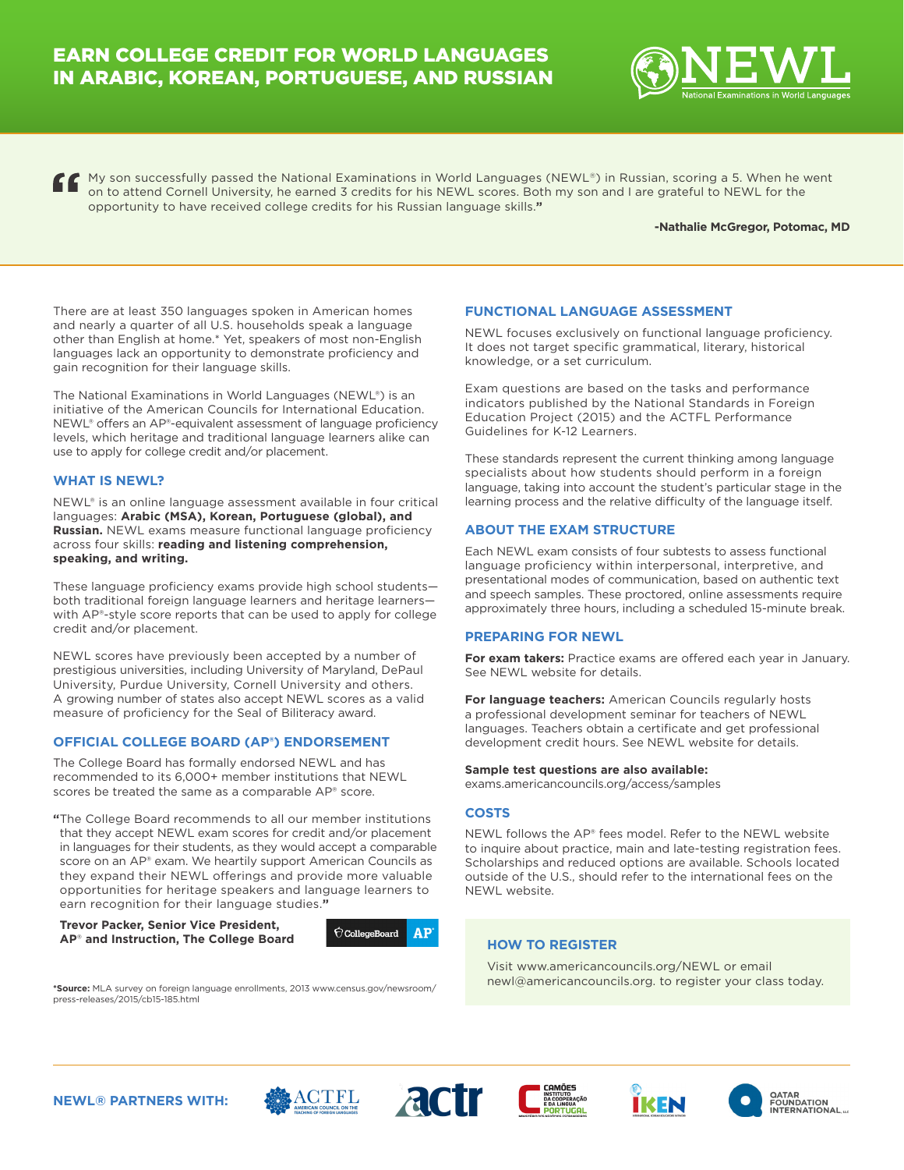

My son successfully passed the National Examinations in World Languages (NEWL®) in Russian, scoring a 5. When he went on to attend Cornell University, he earned 3 credits for his NEWL scores. Both my son and I are grateful to NEWL for the opportunity to have received college credits for his Russian language skills.**"**

#### **-Nathalie McGregor, Potomac, MD**

There are at least 350 languages spoken in American homes and nearly a quarter of all U.S. households speak a language other than English at home.\* Yet, speakers of most non-English languages lack an opportunity to demonstrate proficiency and gain recognition for their language skills.

The National Examinations in World Languages (NEWL®) is an initiative of the American Councils for International Education. NEWL® offers an AP®-equivalent assessment of language proficiency levels, which heritage and traditional language learners alike can use to apply for college credit and/or placement.

## **WHAT IS NEWL?**

NEWL® is an online language assessment available in four critical languages: **Arabic (MSA), Korean, Portuguese (global), and Russian.** NEWL exams measure functional language proficiency across four skills: **reading and listening comprehension, speaking, and writing.**

These language proficiency exams provide high school students both traditional foreign language learners and heritage learners with AP®-style score reports that can be used to apply for college credit and/or placement.

NEWL scores have previously been accepted by a number of prestigious universities, including University of Maryland, DePaul University, Purdue University, Cornell University and others. A growing number of states also accept NEWL scores as a valid measure of proficiency for the Seal of Biliteracy award.

## **OFFICIAL COLLEGE BOARD (AP®) ENDORSEMENT**

The College Board has formally endorsed NEWL and has recommended to its 6,000+ member institutions that NEWL scores be treated the same as a comparable AP® score.

**"**The College Board recommends to all our member institutions that they accept NEWL exam scores for credit and/or placement in languages for their students, as they would accept a comparable score on an AP® exam. We heartily support American Councils as they expand their NEWL offerings and provide more valuable opportunities for heritage speakers and language learners to earn recognition for their language studies.**"**

**Trevor Packer, Senior Vice President, AP**® **and Instruction, The College Board** 



**\*Source:** MLA survey on foreign language enrollments, 2013 www.census.gov/newsroom/ press-releases/2015/cb15-185.html

## **FUNCTIONAL LANGUAGE ASSESSMENT**

NEWL focuses exclusively on functional language proficiency. It does not target specific grammatical, literary, historical knowledge, or a set curriculum.

Exam questions are based on the tasks and performance indicators published by the National Standards in Foreign Education Project (2015) and the ACTFL Performance Guidelines for K-12 Learners.

These standards represent the current thinking among language specialists about how students should perform in a foreign language, taking into account the student's particular stage in the learning process and the relative difficulty of the language itself.

## **ABOUT THE EXAM STRUCTURE**

Each NEWL exam consists of four subtests to assess functional language proficiency within interpersonal, interpretive, and presentational modes of communication, based on authentic text and speech samples. These proctored, online assessments require approximately three hours, including a scheduled 15-minute break.

## **PREPARING FOR NEWL**

**For exam takers:** Practice exams are offered each year in January. See NEWL website for details.

**For language teachers:** American Councils regularly hosts a professional development seminar for teachers of NEWL languages. Teachers obtain a certificate and get professional development credit hours. See NEWL website for details.

**Sample test questions are also available:**  exams.americancouncils.org/access/samples

## **COSTS**

NEWL follows the AP® fees model. Refer to the NEWL website to inquire about practice, main and late-testing registration fees. Scholarships and reduced options are available. Schools located outside of the U.S., should refer to the international fees on the NEWL website.

## **HOW TO REGISTER**

Visit www.americancouncils.org/NEWL or email newl@americancouncils.org. to register your class today.